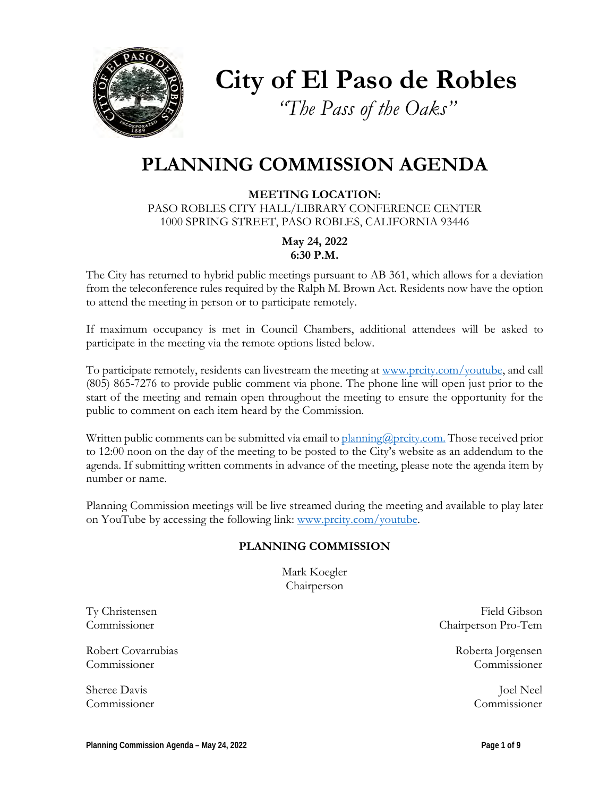

**City of El Paso de Robles**

*"The Pass of the Oaks"*

# **PLANNING COMMISSION AGENDA**

**MEETING LOCATION:** PASO ROBLES CITY HALL/LIBRARY CONFERENCE CENTER 1000 SPRING STREET, PASO ROBLES, CALIFORNIA 93446

> **May 24, 2022 6:30 P.M.**

The City has returned to hybrid public meetings pursuant to AB 361, which allows for a deviation from the teleconference rules required by the Ralph M. Brown Act. Residents now have the option to attend the meeting in person or to participate remotely.

If maximum occupancy is met in Council Chambers, additional attendees will be asked to participate in the meeting via the remote options listed below.

To participate remotely, residents can livestream the meeting at [www.prcity.com/youtube,](http://www.prcity.com/youtube) and call (805) 865-7276 to provide public comment via phone. The phone line will open just prior to the start of the meeting and remain open throughout the meeting to ensure the opportunity for the public to comment on each item heard by the Commission.

Written public comments can be submitted via email to [planning@prcity.com.](mailto:planning@prcity.com) Those received prior to 12:00 noon on the day of the meeting to be posted to the City's website as an addendum to the agenda. If submitting written comments in advance of the meeting, please note the agenda item by number or name.

Planning Commission meetings will be live streamed during the meeting and available to play later on YouTube by accessing the following link: [www.prcity.com/youtube.](http://www.prcity.com/youtube)

#### **PLANNING COMMISSION**

Mark Koegler Chairperson

Robert Covarrubias and the covar and the covar and the covar and the covar and the covar and the covar and the covar and the covar and the covar and the covar and the covariance of the covariance of the covariance of the c Commissioner Commissioner

Ty Christensen Field Gibson Commissioner Chairperson Pro-Tem

Sheree Davis Joel Neel Commissioner Commissioner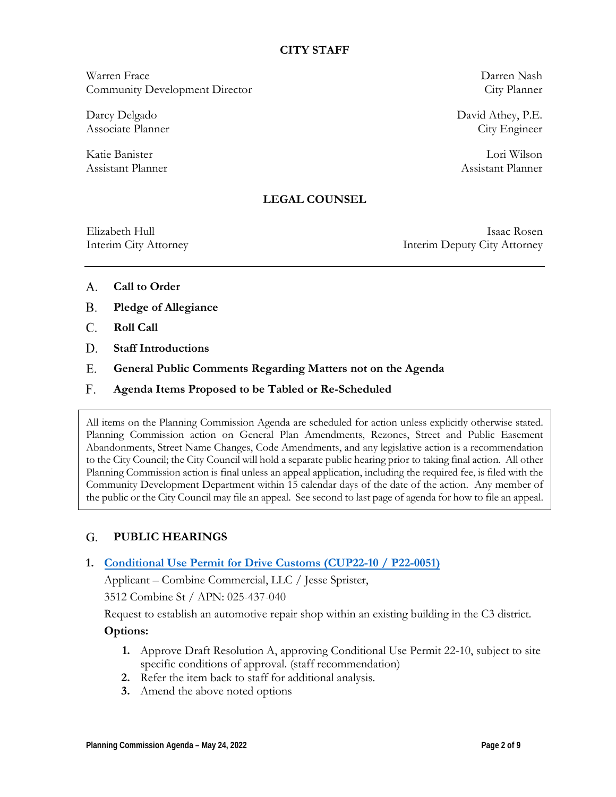#### **CITY STAFF**

Warren Frace Darren Nash Community Development Director City Planner

Darcy Delgado David Athey, P.E. Associate Planner City Engineer

Katie Banister Lori Wilson Assistant Planner and Assistant Planner and Assistant Planner and Assistant Planner

#### **LEGAL COUNSEL**

Elizabeth Hull Isaac Rosen Interim City Attorney Interim Deputy City Attorney

- **Call to Order** A.
- **Pledge of Allegiance B.**
- **Roll Call**  C.
- **Staff Introductions D.**
- **General Public Comments Regarding Matters not on the Agenda** E.
- **Agenda Items Proposed to be Tabled or Re-Scheduled**  F.

All items on the Planning Commission Agenda are scheduled for action unless explicitly otherwise stated. Planning Commission action on General Plan Amendments, Rezones, Street and Public Easement Abandonments, Street Name Changes, Code Amendments, and any legislative action is a recommendation to the City Council; the City Council will hold a separate public hearing prior to taking final action. All other Planning Commission action is final unless an appeal application, including the required fee, is filed with the Community Development Department within 15 calendar days of the date of the action. Any member of the public or the City Council may file an appeal. See second to last page of agenda for how to file an appeal.

#### **PUBLIC HEARINGS**  G.

#### **1. Conditional Use Permit for Drive [Customs \(CUP22-10 / P22-0051\)](https://www.prcity.com/DocumentCenter/View/33929/May-24-2022-Planning-Commission-Item-1-PDF)**

Applicant – Combine Commercial, LLC / Jesse Sprister,

3512 Combine St / APN: 025-437-040

Request to establish an automotive repair shop within an existing building in the C3 district.

#### **Options:**

- **1.** Approve Draft Resolution A, approving Conditional Use Permit 22-10, subject to site specific conditions of approval. (staff recommendation)
- **2.** Refer the item back to staff for additional analysis.
- **3.** Amend the above noted options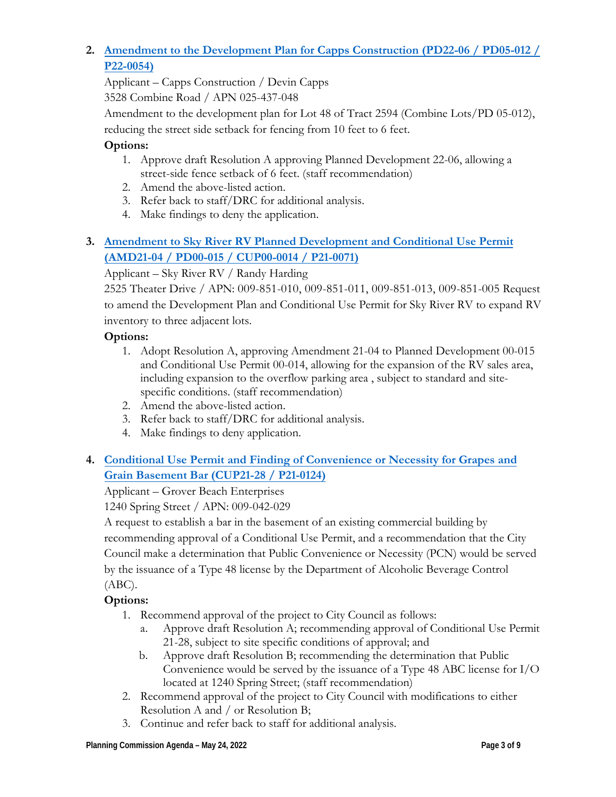### **2. Amendment to the Development Plan for Capps [Construction \(PD22-06 / PD05-012 /](https://www.prcity.com/DocumentCenter/View/33930/May-24-2022-Planning-Commission-Item-2-PDF) P22-0054)**

Applicant – Capps Construction / Devin Capps

3528 Combine Road / APN 025-437-048

Amendment to the development plan for Lot 48 of Tract 2594 (Combine Lots/PD 05-012),

reducing the street side setback for fencing from 10 feet to 6 feet.

### **Options:**

- 1. Approve draft Resolution A approving Planned Development 22-06, allowing a street-side fence setback of 6 feet. (staff recommendation)
- 2. Amend the above-listed action.
- 3. Refer back to staff/DRC for additional analysis.
- 4. Make findings to deny the application.

### **3. Amendment to Sky River RV Planned Development and Conditional Use Permit (AMD21-04 / PD00-015 [/ CUP00-0014 / P21-0071\)](https://www.prcity.com/DocumentCenter/View/33931/May-24-2022-Planning-Commission-Item-3-PDF)**

### Applicant – Sky River RV / Randy Harding

2525 Theater Drive / APN: 009-851-010, 009-851-011, 009-851-013, 009-851-005 Request to amend the Development Plan and Conditional Use Permit for Sky River RV to expand RV inventory to three adjacent lots.

### **Options:**

- 1. Adopt Resolution A, approving Amendment 21-04 to Planned Development 00-015 and Conditional Use Permit 00-014, allowing for the expansion of the RV sales area, including expansion to the overflow parking area , subject to standard and sitespecific conditions. (staff recommendation)
- 2. Amend the above-listed action.
- 3. Refer back to staff/DRC for additional analysis.
- 4. Make findings to deny application.

## **4. [Conditional Use Permit](https://www.prcity.com/DocumentCenter/View/33932/May-24-2022-Planning-Commission-Item-4-PDF) and Finding of Convenience or Necessity for Grapes and Grain Basement Bar (CUP21-28 / P21-0124)**

### Applicant – Grover Beach Enterprises

1240 Spring Street / APN: 009-042-029

A request to establish a bar in the basement of an existing commercial building by recommending approval of a Conditional Use Permit, and a recommendation that the City Council make a determination that Public Convenience or Necessity (PCN) would be served by the issuance of a Type 48 license by the Department of Alcoholic Beverage Control (ABC).

### **Options:**

- 1. Recommend approval of the project to City Council as follows:
	- a. Approve draft Resolution A; recommending approval of Conditional Use Permit 21-28, subject to site specific conditions of approval; and
	- b. Approve draft Resolution B; recommending the determination that Public Convenience would be served by the issuance of a Type 48 ABC license for I/O located at 1240 Spring Street; (staff recommendation)
- 2. Recommend approval of the project to City Council with modifications to either Resolution A and / or Resolution B;
- 3. Continue and refer back to staff for additional analysis.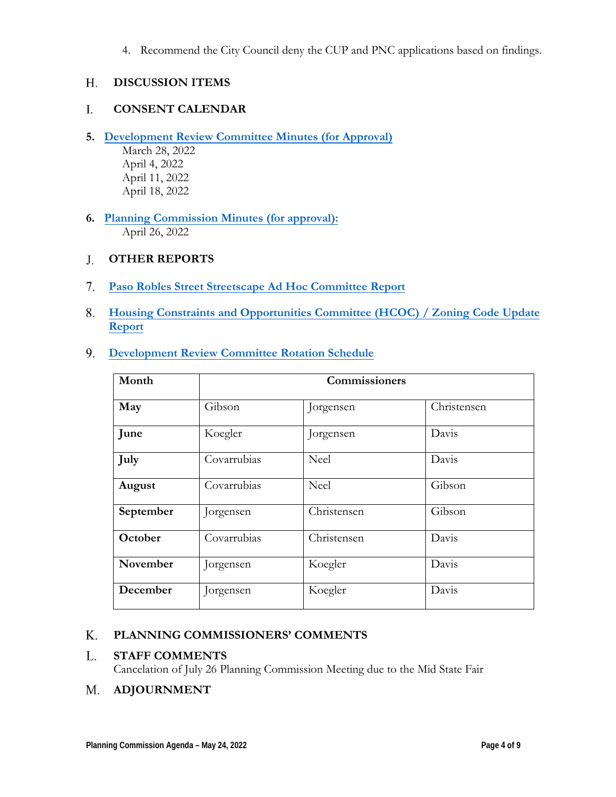4. Recommend the City Council deny the CUP and PNC applications based on findings.

#### **DISCUSSION ITEMS**  H.

#### **CONSENT CALENDAR** I.

- **5. [Development](https://www.prcity.com/DocumentCenter/View/33933/May-24-2022-Planning-Commission-Item-5-PDF) Review Committee Minutes (for Approval)**
	- March 28, 2022 April 4, 2022 April 11, 2022 April 18, 2022
- **6. [Planning Commission](https://www.prcity.com/DocumentCenter/View/33934/May-24-2022-Planning-Commission-Item-6-PDF) Minutes (for approval):** April 26, 2022

#### **OTHER REPORTS**  J.

- **Paso Robles Street [Streetscape Ad](https://www.prcity.com/DocumentCenter/View/33935/May-24-2022-Planning-Commission-Item-7-PDF) Hoc Committee Report** 7.
- **[Housing Constraints](https://www.prcity.com/DocumentCenter/View/33936/May-24-2022-Planning-Commission-Item-8-PDF) and Opportunities Committee (HCOC) / Zoning Code Update** 8. **Report**
- **[Development](https://www.prcity.com/DocumentCenter/View/33937/May-24-2022-Planning-Commission-Item-9-PDF) Review Committee Rotation Schedule**  9.

| Month     | Commissioners |             |             |
|-----------|---------------|-------------|-------------|
| May       | Gibson        | Jorgensen   | Christensen |
| June      | Koegler       | Jorgensen   | Davis       |
| July      | Covarrubias   | Neel        | Davis       |
| August    | Covarrubias   | Neel        | Gibson      |
| September | Jorgensen     | Christensen | Gibson      |
| October   | Covarrubias   | Christensen | Davis       |
| November  | Jorgensen     | Koegler     | Davis       |
| December  | Jorgensen     | Koegler     | Davis       |

#### **PLANNING COMMISSIONERS' COMMENTS** K.

#### **STAFF COMMENTS** L.

Cancelation of July 26 Planning Commission Meeting due to the Mid State Fair

#### **ADJOURNMENT** M.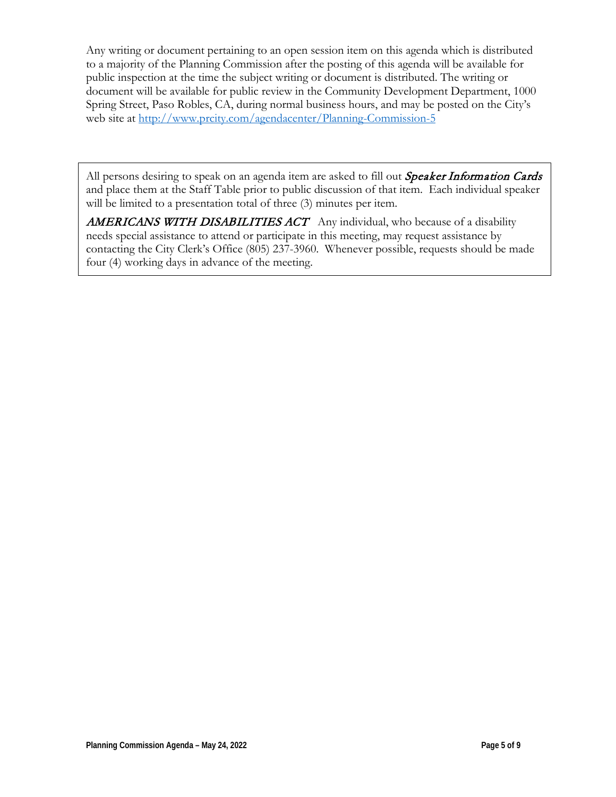Any writing or document pertaining to an open session item on this agenda which is distributed to a majority of the Planning Commission after the posting of this agenda will be available for public inspection at the time the subject writing or document is distributed. The writing or document will be available for public review in the Community Development Department, 1000 Spring Street, Paso Robles, CA, during normal business hours, and may be posted on the City's web site at <http://www.prcity.com/agendacenter/Planning-Commission-5>

All persons desiring to speak on an agenda item are asked to fill out Speaker Information Cards and place them at the Staff Table prior to public discussion of that item. Each individual speaker will be limited to a presentation total of three  $(3)$  minutes per item.

**AMERICANS WITH DISABILITIES ACT** Any individual, who because of a disability needs special assistance to attend or participate in this meeting, may request assistance by contacting the City Clerk's Office (805) 237-3960. Whenever possible, requests should be made four (4) working days in advance of the meeting.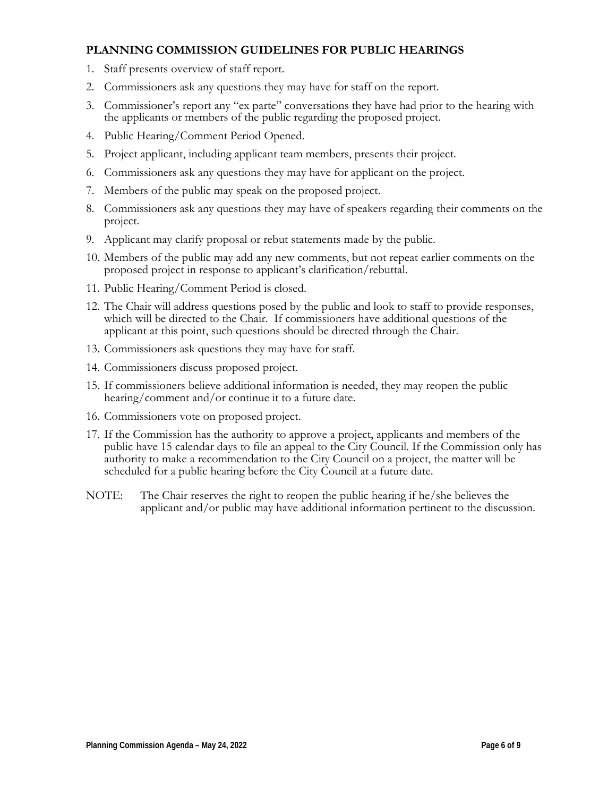#### **PLANNING COMMISSION GUIDELINES FOR PUBLIC HEARINGS**

- 1. Staff presents overview of staff report.
- 2. Commissioners ask any questions they may have for staff on the report.
- 3. Commissioner's report any "ex parte" conversations they have had prior to the hearing with the applicants or members of the public regarding the proposed project.
- 4. Public Hearing/Comment Period Opened.
- 5. Project applicant, including applicant team members, presents their project.
- 6. Commissioners ask any questions they may have for applicant on the project.
- 7. Members of the public may speak on the proposed project.
- 8. Commissioners ask any questions they may have of speakers regarding their comments on the project.
- 9. Applicant may clarify proposal or rebut statements made by the public.
- 10. Members of the public may add any new comments, but not repeat earlier comments on the proposed project in response to applicant's clarification/rebuttal.
- 11. Public Hearing/Comment Period is closed.
- 12. The Chair will address questions posed by the public and look to staff to provide responses, which will be directed to the Chair. If commissioners have additional questions of the applicant at this point, such questions should be directed through the Chair.
- 13. Commissioners ask questions they may have for staff.
- 14. Commissioners discuss proposed project.
- 15. If commissioners believe additional information is needed, they may reopen the public hearing/comment and/or continue it to a future date.
- 16. Commissioners vote on proposed project.
- 17. If the Commission has the authority to approve a project, applicants and members of the public have 15 calendar days to file an appeal to the City Council. If the Commission only has authority to make a recommendation to the City Council on a project, the matter will be scheduled for a public hearing before the City Council at a future date.
- NOTE: The Chair reserves the right to reopen the public hearing if he/she believes the applicant and/or public may have additional information pertinent to the discussion.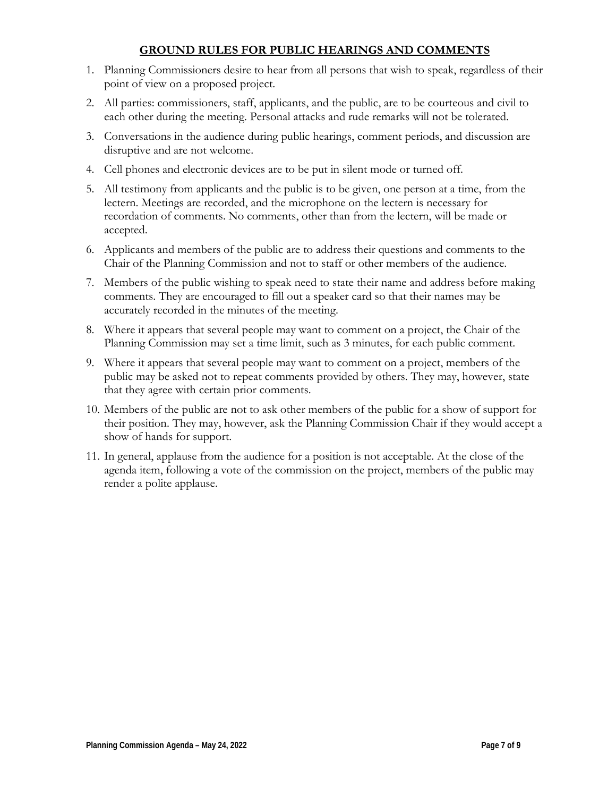#### **GROUND RULES FOR PUBLIC HEARINGS AND COMMENTS**

- 1. Planning Commissioners desire to hear from all persons that wish to speak, regardless of their point of view on a proposed project.
- 2. All parties: commissioners, staff, applicants, and the public, are to be courteous and civil to each other during the meeting. Personal attacks and rude remarks will not be tolerated.
- 3. Conversations in the audience during public hearings, comment periods, and discussion are disruptive and are not welcome.
- 4. Cell phones and electronic devices are to be put in silent mode or turned off.
- 5. All testimony from applicants and the public is to be given, one person at a time, from the lectern. Meetings are recorded, and the microphone on the lectern is necessary for recordation of comments. No comments, other than from the lectern, will be made or accepted.
- 6. Applicants and members of the public are to address their questions and comments to the Chair of the Planning Commission and not to staff or other members of the audience.
- 7. Members of the public wishing to speak need to state their name and address before making comments. They are encouraged to fill out a speaker card so that their names may be accurately recorded in the minutes of the meeting.
- 8. Where it appears that several people may want to comment on a project, the Chair of the Planning Commission may set a time limit, such as 3 minutes, for each public comment.
- 9. Where it appears that several people may want to comment on a project, members of the public may be asked not to repeat comments provided by others. They may, however, state that they agree with certain prior comments.
- 10. Members of the public are not to ask other members of the public for a show of support for their position. They may, however, ask the Planning Commission Chair if they would accept a show of hands for support.
- 11. In general, applause from the audience for a position is not acceptable. At the close of the agenda item, following a vote of the commission on the project, members of the public may render a polite applause.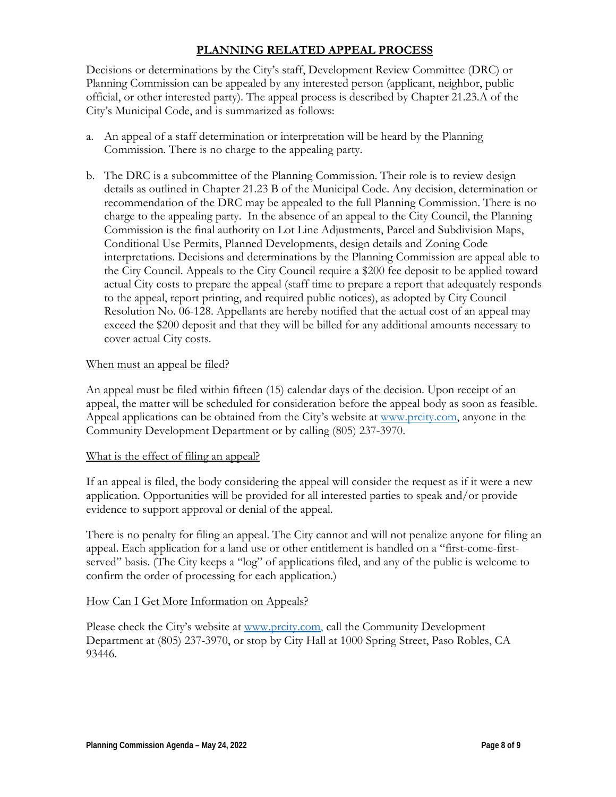#### **PLANNING RELATED APPEAL PROCESS**

Decisions or determinations by the City's staff, Development Review Committee (DRC) or Planning Commission can be appealed by any interested person (applicant, neighbor, public official, or other interested party). The appeal process is described by Chapter 21.23.A of the City's Municipal Code, and is summarized as follows:

- a. An appeal of a staff determination or interpretation will be heard by the Planning Commission. There is no charge to the appealing party.
- b. The DRC is a subcommittee of the Planning Commission. Their role is to review design details as outlined in Chapter 21.23 B of the Municipal Code. Any decision, determination or recommendation of the DRC may be appealed to the full Planning Commission. There is no charge to the appealing party. In the absence of an appeal to the City Council, the Planning Commission is the final authority on Lot Line Adjustments, Parcel and Subdivision Maps, Conditional Use Permits, Planned Developments, design details and Zoning Code interpretations. Decisions and determinations by the Planning Commission are appeal able to the City Council. Appeals to the City Council require a \$200 fee deposit to be applied toward actual City costs to prepare the appeal (staff time to prepare a report that adequately responds to the appeal, report printing, and required public notices), as adopted by City Council Resolution No. 06-128. Appellants are hereby notified that the actual cost of an appeal may exceed the \$200 deposit and that they will be billed for any additional amounts necessary to cover actual City costs.

#### When must an appeal be filed?

An appeal must be filed within fifteen (15) calendar days of the decision. Upon receipt of an appeal, the matter will be scheduled for consideration before the appeal body as soon as feasible. Appeal applications can be obtained from the City's website at [www.prcity.com,](http://www.prcity.com/) anyone in the Community Development Department or by calling (805) 237-3970.

#### What is the effect of filing an appeal?

If an appeal is filed, the body considering the appeal will consider the request as if it were a new application. Opportunities will be provided for all interested parties to speak and/or provide evidence to support approval or denial of the appeal.

There is no penalty for filing an appeal. The City cannot and will not penalize anyone for filing an appeal. Each application for a land use or other entitlement is handled on a "first-come-firstserved" basis. (The City keeps a "log" of applications filed, and any of the public is welcome to confirm the order of processing for each application.)

#### How Can I Get More Information on Appeals?

Please check the City's website at [www.prcity.com,](http://www.prcity.com/) call the Community Development Department at (805) 237-3970, or stop by City Hall at 1000 Spring Street, Paso Robles, CA 93446.